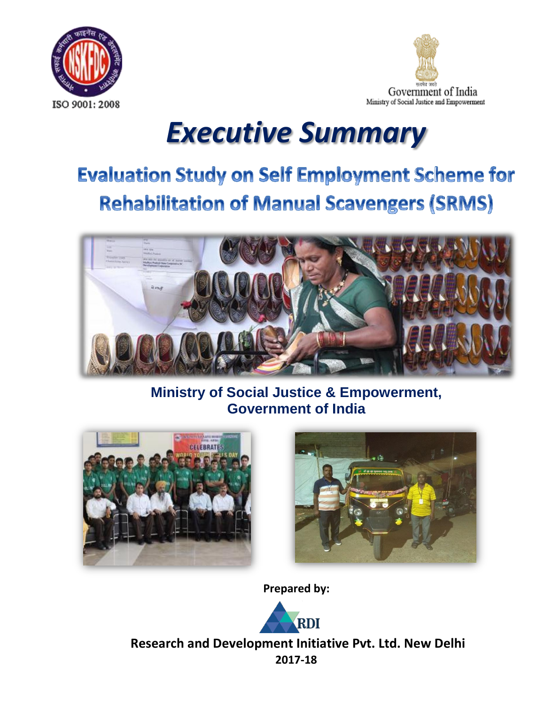



# *Executive Summary*

# **Evaluation Study on Self Employment Scheme for Rehabilitation of Manual Scavengers (SRMS)**



**Ministry of Social Justice & Empowerment, Government of India**





**Prepared by:**



**Research and Development Initiative Pvt. Ltd. New Delhi 2017-18**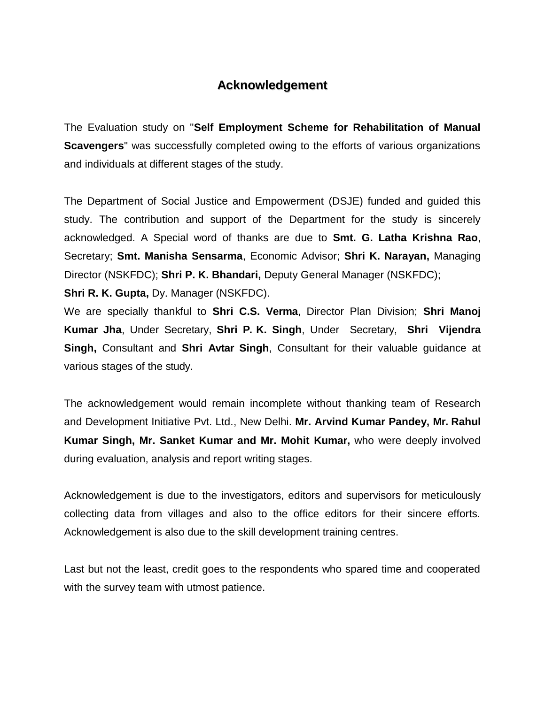### **Acknowledgement**

The Evaluation study on "**Self Employment Scheme for Rehabilitation of Manual Scavengers**" was successfully completed owing to the efforts of various organizations and individuals at different stages of the study.

The Department of Social Justice and Empowerment (DSJE) funded and guided this study. The contribution and support of the Department for the study is sincerely acknowledged. A Special word of thanks are due to **Smt. G. Latha Krishna Rao**, Secretary; **Smt. Manisha Sensarma**, Economic Advisor; **Shri K. Narayan,** Managing Director (NSKFDC); **Shri P. K. Bhandari,** Deputy General Manager (NSKFDC);

**Shri R. K. Gupta,** Dy. Manager (NSKFDC).

We are specially thankful to **Shri C.S. Verma**, Director Plan Division; **Shri Manoj Kumar Jha**, Under Secretary, **Shri P. K. Singh**, Under Secretary, **Shri Vijendra Singh,** Consultant and **Shri Avtar Singh**, Consultant for their valuable guidance at various stages of the study.

The acknowledgement would remain incomplete without thanking team of Research and Development Initiative Pvt. Ltd., New Delhi. **Mr. Arvind Kumar Pandey, Mr. Rahul Kumar Singh, Mr. Sanket Kumar and Mr. Mohit Kumar,** who were deeply involved during evaluation, analysis and report writing stages.

Acknowledgement is due to the investigators, editors and supervisors for meticulously collecting data from villages and also to the office editors for their sincere efforts. Acknowledgement is also due to the skill development training centres.

Last but not the least, credit goes to the respondents who spared time and cooperated with the survey team with utmost patience.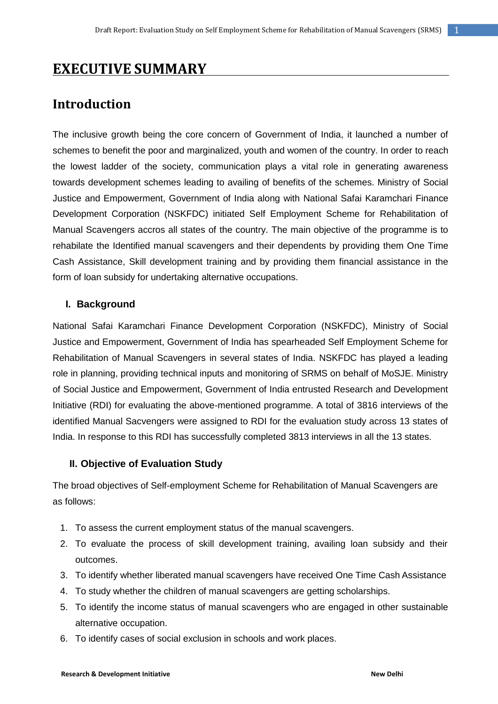# **EXECUTIVE SUMMARY**

## **Introduction**

The inclusive growth being the core concern of Government of India, it launched a number of schemes to benefit the poor and marginalized, youth and women of the country. In order to reach the lowest ladder of the society, communication plays a vital role in generating awareness towards development schemes leading to availing of benefits of the schemes. Ministry of Social Justice and Empowerment, Government of India along with National Safai Karamchari Finance Development Corporation (NSKFDC) initiated Self Employment Scheme for Rehabilitation of Manual Scavengers accros all states of the country. The main objective of the programme is to rehabilate the Identified manual scavengers and their dependents by providing them One Time Cash Assistance, Skill development training and by providing them financial assistance in the form of loan subsidy for undertaking alternative occupations.

#### **I. Background**

National Safai Karamchari Finance Development Corporation (NSKFDC), Ministry of Social Justice and Empowerment, Government of India has spearheaded Self Employment Scheme for Rehabilitation of Manual Scavengers in several states of India. NSKFDC has played a leading role in planning, providing technical inputs and monitoring of SRMS on behalf of MoSJE. Ministry of Social Justice and Empowerment, Government of India entrusted Research and Development Initiative (RDI) for evaluating the above-mentioned programme. A total of 3816 interviews of the identified Manual Sacvengers were assigned to RDI for the evaluation study across 13 states of India. In response to this RDI has successfully completed 3813 interviews in all the 13 states.

#### **II. Objective of Evaluation Study**

The broad objectives of Self-employment Scheme for Rehabilitation of Manual Scavengers are as follows:

- 1. To assess the current employment status of the manual scavengers.
- 2. To evaluate the process of skill development training, availing loan subsidy and their outcomes.
- 3. To identify whether liberated manual scavengers have received One Time Cash Assistance
- 4. To study whether the children of manual scavengers are getting scholarships.
- 5. To identify the income status of manual scavengers who are engaged in other sustainable alternative occupation.
- 6. To identify cases of social exclusion in schools and work places.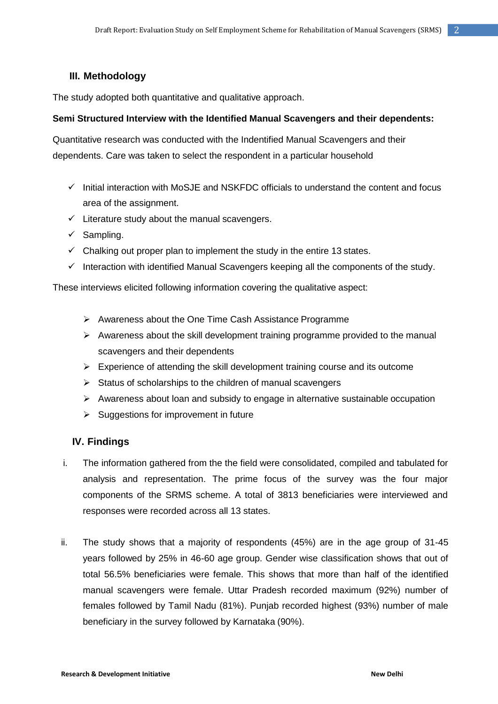#### **III. Methodology**

The study adopted both quantitative and qualitative approach.

#### **Semi Structured Interview with the Identified Manual Scavengers and their dependents:**

Quantitative research was conducted with the Indentified Manual Scavengers and their dependents. Care was taken to select the respondent in a particular household

- $\checkmark$  Initial interaction with MoSJE and NSKFDC officials to understand the content and focus area of the assignment.
- $\checkmark$  Literature study about the manual scavengers.
- $\checkmark$  Sampling.
- $\checkmark$  Chalking out proper plan to implement the study in the entire 13 states.
- $\checkmark$  Interaction with identified Manual Scavengers keeping all the components of the study.

These interviews elicited following information covering the qualitative aspect:

- $\triangleright$  Awareness about the One Time Cash Assistance Programme
- $\triangleright$  Awareness about the skill development training programme provided to the manual scavengers and their dependents
- $\triangleright$  Experience of attending the skill development training course and its outcome
- $\triangleright$  Status of scholarships to the children of manual scavengers
- $\triangleright$  Awareness about loan and subsidy to engage in alternative sustainable occupation
- $\triangleright$  Suggestions for improvement in future

#### **IV. Findings**

- i. The information gathered from the the field were consolidated, compiled and tabulated for analysis and representation. The prime focus of the survey was the four major components of the SRMS scheme. A total of 3813 beneficiaries were interviewed and responses were recorded across all 13 states.
- ii. The study shows that a majority of respondents (45%) are in the age group of 31-45 years followed by 25% in 46-60 age group. Gender wise classification shows that out of total 56.5% beneficiaries were female. This shows that more than half of the identified manual scavengers were female. Uttar Pradesh recorded maximum (92%) number of females followed by Tamil Nadu (81%). Punjab recorded highest (93%) number of male beneficiary in the survey followed by Karnataka (90%).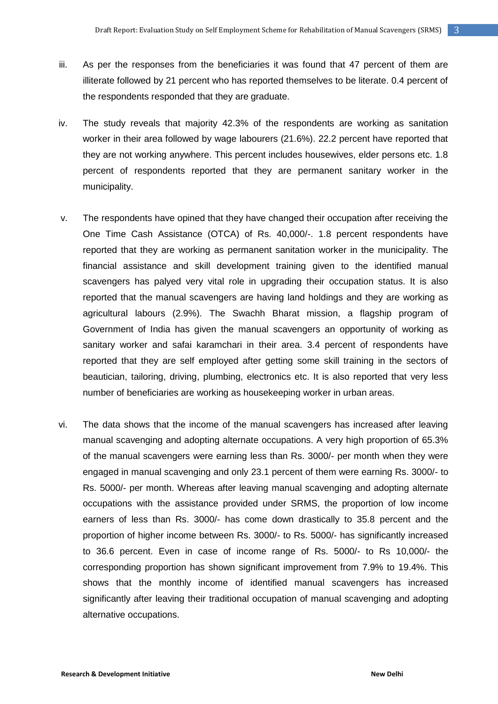- iii. As per the responses from the beneficiaries it was found that 47 percent of them are illiterate followed by 21 percent who has reported themselves to be literate. 0.4 percent of the respondents responded that they are graduate.
- iv. The study reveals that majority 42.3% of the respondents are working as sanitation worker in their area followed by wage labourers (21.6%). 22.2 percent have reported that they are not working anywhere. This percent includes housewives, elder persons etc. 1.8 percent of respondents reported that they are permanent sanitary worker in the municipality.
- v. The respondents have opined that they have changed their occupation after receiving the One Time Cash Assistance (OTCA) of Rs. 40,000/-. 1.8 percent respondents have reported that they are working as permanent sanitation worker in the municipality. The financial assistance and skill development training given to the identified manual scavengers has palyed very vital role in upgrading their occupation status. It is also reported that the manual scavengers are having land holdings and they are working as agricultural labours (2.9%). The Swachh Bharat mission, a flagship program of Government of India has given the manual scavengers an opportunity of working as sanitary worker and safai karamchari in their area. 3.4 percent of respondents have reported that they are self employed after getting some skill training in the sectors of beautician, tailoring, driving, plumbing, electronics etc. It is also reported that very less number of beneficiaries are working as housekeeping worker in urban areas.
- vi. The data shows that the income of the manual scavengers has increased after leaving manual scavenging and adopting alternate occupations. A very high proportion of 65.3% of the manual scavengers were earning less than Rs. 3000/- per month when they were engaged in manual scavenging and only 23.1 percent of them were earning Rs. 3000/- to Rs. 5000/- per month. Whereas after leaving manual scavenging and adopting alternate occupations with the assistance provided under SRMS, the proportion of low income earners of less than Rs. 3000/- has come down drastically to 35.8 percent and the proportion of higher income between Rs. 3000/- to Rs. 5000/- has significantly increased to 36.6 percent. Even in case of income range of Rs. 5000/- to Rs 10,000/- the corresponding proportion has shown significant improvement from 7.9% to 19.4%. This shows that the monthly income of identified manual scavengers has increased significantly after leaving their traditional occupation of manual scavenging and adopting alternative occupations.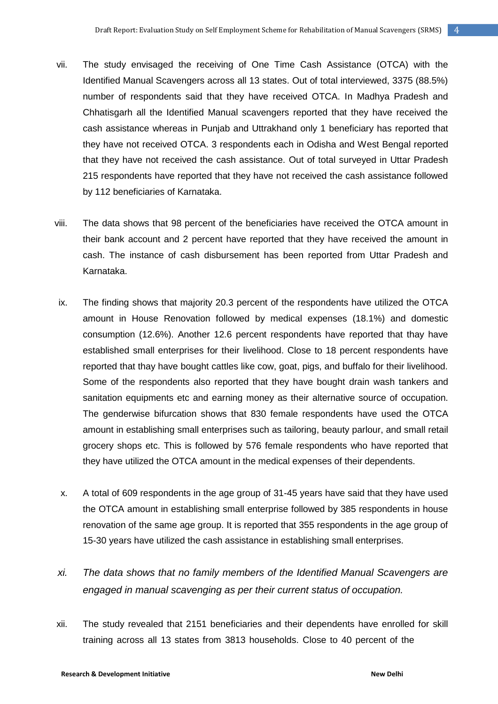- vii. The study envisaged the receiving of One Time Cash Assistance (OTCA) with the Identified Manual Scavengers across all 13 states. Out of total interviewed, 3375 (88.5%) number of respondents said that they have received OTCA. In Madhya Pradesh and Chhatisgarh all the Identified Manual scavengers reported that they have received the cash assistance whereas in Punjab and Uttrakhand only 1 beneficiary has reported that they have not received OTCA. 3 respondents each in Odisha and West Bengal reported that they have not received the cash assistance. Out of total surveyed in Uttar Pradesh 215 respondents have reported that they have not received the cash assistance followed by 112 beneficiaries of Karnataka.
- viii. The data shows that 98 percent of the beneficiaries have received the OTCA amount in their bank account and 2 percent have reported that they have received the amount in cash. The instance of cash disbursement has been reported from Uttar Pradesh and Karnataka.
- ix. The finding shows that majority 20.3 percent of the respondents have utilized the OTCA amount in House Renovation followed by medical expenses (18.1%) and domestic consumption (12.6%). Another 12.6 percent respondents have reported that thay have established small enterprises for their livelihood. Close to 18 percent respondents have reported that thay have bought cattles like cow, goat, pigs, and buffalo for their livelihood. Some of the respondents also reported that they have bought drain wash tankers and sanitation equipments etc and earning money as their alternative source of occupation. The genderwise bifurcation shows that 830 female respondents have used the OTCA amount in establishing small enterprises such as tailoring, beauty parlour, and small retail grocery shops etc. This is followed by 576 female respondents who have reported that they have utilized the OTCA amount in the medical expenses of their dependents.
- x. A total of 609 respondents in the age group of 31-45 years have said that they have used the OTCA amount in establishing small enterprise followed by 385 respondents in house renovation of the same age group. It is reported that 355 respondents in the age group of 15-30 years have utilized the cash assistance in establishing small enterprises.
- *xi. The data shows that no family members of the Identified Manual Scavengers are engaged in manual scavenging as per their current status of occupation.*
- xii. The study revealed that 2151 beneficiaries and their dependents have enrolled for skill training across all 13 states from 3813 households. Close to 40 percent of the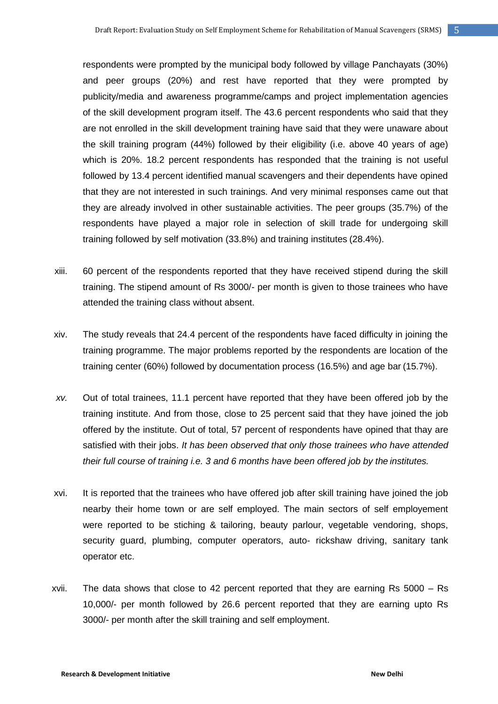respondents were prompted by the municipal body followed by village Panchayats (30%) and peer groups (20%) and rest have reported that they were prompted by publicity/media and awareness programme/camps and project implementation agencies of the skill development program itself. The 43.6 percent respondents who said that they are not enrolled in the skill development training have said that they were unaware about the skill training program (44%) followed by their eligibility (i.e. above 40 years of age) which is 20%. 18.2 percent respondents has responded that the training is not useful followed by 13.4 percent identified manual scavengers and their dependents have opined that they are not interested in such trainings. And very minimal responses came out that they are already involved in other sustainable activities. The peer groups (35.7%) of the respondents have played a major role in selection of skill trade for undergoing skill training followed by self motivation (33.8%) and training institutes (28.4%).

- xiii. 60 percent of the respondents reported that they have received stipend during the skill training. The stipend amount of Rs 3000/- per month is given to those trainees who have attended the training class without absent.
- xiv. The study reveals that 24.4 percent of the respondents have faced difficulty in joining the training programme. The major problems reported by the respondents are location of the training center (60%) followed by documentation process (16.5%) and age bar (15.7%).
- *xv.* Out of total trainees, 11.1 percent have reported that they have been offered job by the training institute. And from those, close to 25 percent said that they have joined the job offered by the institute. Out of total, 57 percent of respondents have opined that thay are satisfied with their jobs. *It has been observed that only those trainees who have attended their full course of training i.e. 3 and 6 months have been offered job by the institutes.*
- xvi. It is reported that the trainees who have offered job after skill training have joined the job nearby their home town or are self employed. The main sectors of self employement were reported to be stiching & tailoring, beauty parlour, vegetable vendoring, shops, security guard, plumbing, computer operators, auto- rickshaw driving, sanitary tank operator etc.
- xvii. The data shows that close to 42 percent reported that they are earning Rs 5000 Rs 10,000/- per month followed by 26.6 percent reported that they are earning upto Rs 3000/- per month after the skill training and self employment.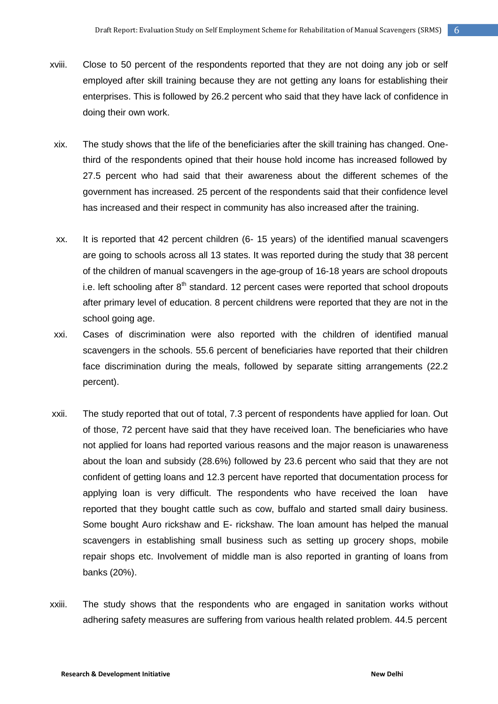- xviii. Close to 50 percent of the respondents reported that they are not doing any job or self employed after skill training because they are not getting any loans for establishing their enterprises. This is followed by 26.2 percent who said that they have lack of confidence in doing their own work.
- xix. The study shows that the life of the beneficiaries after the skill training has changed. Onethird of the respondents opined that their house hold income has increased followed by 27.5 percent who had said that their awareness about the different schemes of the government has increased. 25 percent of the respondents said that their confidence level has increased and their respect in community has also increased after the training.
- xx. It is reported that 42 percent children (6- 15 years) of the identified manual scavengers are going to schools across all 13 states. It was reported during the study that 38 percent of the children of manual scavengers in the age-group of 16-18 years are school dropouts i.e. left schooling after  $8<sup>th</sup>$  standard. 12 percent cases were reported that school dropouts after primary level of education. 8 percent childrens were reported that they are not in the school going age.
- xxi. Cases of discrimination were also reported with the children of identified manual scavengers in the schools. 55.6 percent of beneficiaries have reported that their children face discrimination during the meals, followed by separate sitting arrangements (22.2 percent).
- xxii. The study reported that out of total, 7.3 percent of respondents have applied for loan. Out of those, 72 percent have said that they have received loan. The beneficiaries who have not applied for loans had reported various reasons and the major reason is unawareness about the loan and subsidy (28.6%) followed by 23.6 percent who said that they are not confident of getting loans and 12.3 percent have reported that documentation process for applying loan is very difficult. The respondents who have received the loan have reported that they bought cattle such as cow, buffalo and started small dairy business. Some bought Auro rickshaw and E- rickshaw. The loan amount has helped the manual scavengers in establishing small business such as setting up grocery shops, mobile repair shops etc. Involvement of middle man is also reported in granting of loans from banks (20%).
- xxiii. The study shows that the respondents who are engaged in sanitation works without adhering safety measures are suffering from various health related problem. 44.5 percent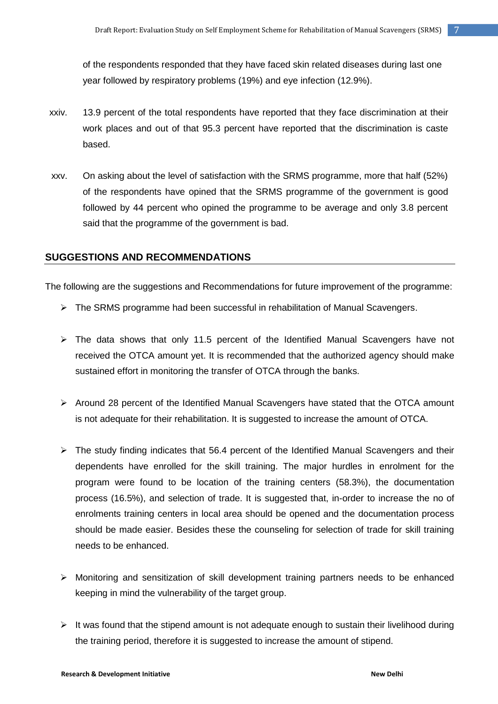of the respondents responded that they have faced skin related diseases during last one year followed by respiratory problems (19%) and eye infection (12.9%).

- xxiv. 13.9 percent of the total respondents have reported that they face discrimination at their work places and out of that 95.3 percent have reported that the discrimination is caste based.
- xxv. On asking about the level of satisfaction with the SRMS programme, more that half (52%) of the respondents have opined that the SRMS programme of the government is good followed by 44 percent who opined the programme to be average and only 3.8 percent said that the programme of the government is bad.

#### **SUGGESTIONS AND RECOMMENDATIONS**

The following are the suggestions and Recommendations for future improvement of the programme:

- > The SRMS programme had been successful in rehabilitation of Manual Scavengers.
- $\triangleright$  The data shows that only 11.5 percent of the Identified Manual Scavengers have not received the OTCA amount yet. It is recommended that the authorized agency should make sustained effort in monitoring the transfer of OTCA through the banks.
- $\triangleright$  Around 28 percent of the Identified Manual Scavengers have stated that the OTCA amount is not adequate for their rehabilitation. It is suggested to increase the amount of OTCA.
- $\triangleright$  The study finding indicates that 56.4 percent of the Identified Manual Scavengers and their dependents have enrolled for the skill training. The major hurdles in enrolment for the program were found to be location of the training centers (58.3%), the documentation process (16.5%), and selection of trade. It is suggested that, in-order to increase the no of enrolments training centers in local area should be opened and the documentation process should be made easier. Besides these the counseling for selection of trade for skill training needs to be enhanced.
- Monitoring and sensitization of skill development training partners needs to be enhanced keeping in mind the vulnerability of the target group.
- $\triangleright$  It was found that the stipend amount is not adequate enough to sustain their livelihood during the training period, therefore it is suggested to increase the amount of stipend.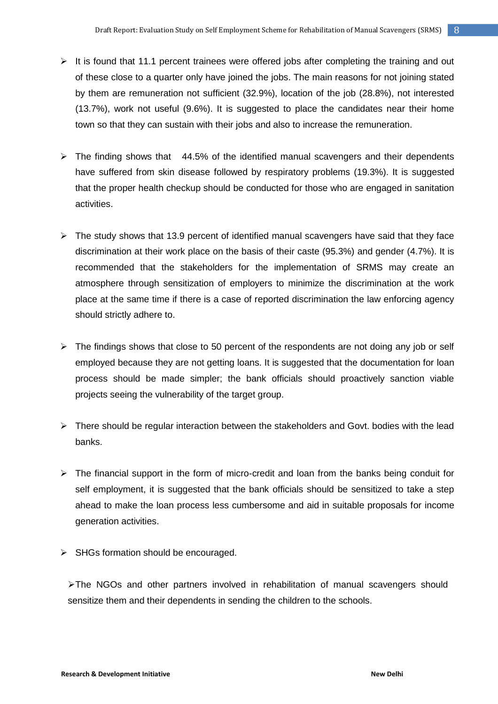- $\triangleright$  It is found that 11.1 percent trainees were offered jobs after completing the training and out of these close to a quarter only have joined the jobs. The main reasons for not joining stated by them are remuneration not sufficient (32.9%), location of the job (28.8%), not interested (13.7%), work not useful (9.6%). It is suggested to place the candidates near their home town so that they can sustain with their jobs and also to increase the remuneration.
- $\triangleright$  The finding shows that 44.5% of the identified manual scavengers and their dependents have suffered from skin disease followed by respiratory problems (19.3%). It is suggested that the proper health checkup should be conducted for those who are engaged in sanitation activities.
- $\triangleright$  The study shows that 13.9 percent of identified manual scavengers have said that they face discrimination at their work place on the basis of their caste (95.3%) and gender (4.7%). It is recommended that the stakeholders for the implementation of SRMS may create an atmosphere through sensitization of employers to minimize the discrimination at the work place at the same time if there is a case of reported discrimination the law enforcing agency should strictly adhere to.
- $\triangleright$  The findings shows that close to 50 percent of the respondents are not doing any job or self employed because they are not getting loans. It is suggested that the documentation for loan process should be made simpler; the bank officials should proactively sanction viable projects seeing the vulnerability of the target group.
- $\triangleright$  There should be regular interaction between the stakeholders and Govt. bodies with the lead banks.
- $\triangleright$  The financial support in the form of micro-credit and loan from the banks being conduit for self employment, it is suggested that the bank officials should be sensitized to take a step ahead to make the loan process less cumbersome and aid in suitable proposals for income generation activities.
- $\triangleright$  SHGs formation should be encouraged.

 $\triangleright$  The NGOs and other partners involved in rehabilitation of manual scavengers should sensitize them and their dependents in sending the children to the schools.